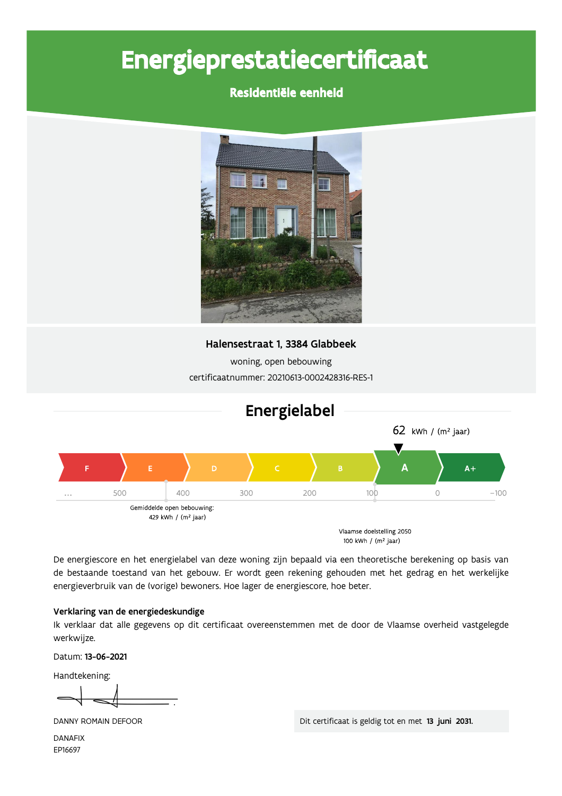# Energieprestatiecertificaat

### Residentiële eenheid





De energiescore en het energielabel van deze woning zijn bepaald via een theoretische berekening op basis van de bestaande toestand van het gebouw. Er wordt geen rekening gehouden met het gedrag en het werkelijke energieverbruik van de (vorige) bewoners. Hoe lager de energiescore, hoe beter.

#### Verklaring van de energiedeskundige

Ik verklaar dat alle gegevens op dit certificaat overeenstemmen met de door de Vlaamse overheid vastgelegde werkwijze.

Datum: 13-06-2021

Handtekening:

DANNY ROMAIN DEFOOR

Dit certificaat is geldig tot en met 13 juni 2031.

**DANAFIX** EP16697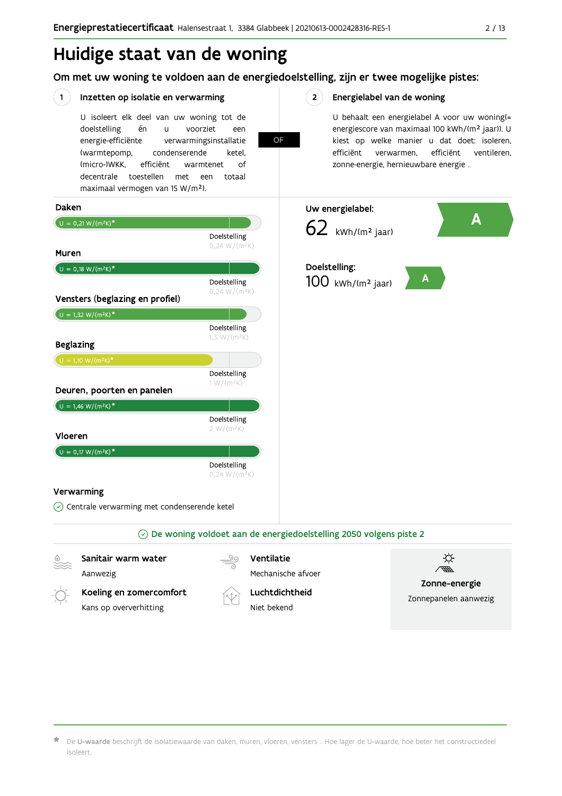### Huidige staat van de woning

### Om met uw woning te voldoen aan de energiedoelstelling, zijn er twee mogelijke pistes:

OF

#### $(1)$ Inzetten op isolatie en verwarming

U isoleert elk deel van uw woning tot de doelstelling én voorziet  $\mathbf{u}$ een energie-efficiënte verwarmingsinstallatie (warmtepomp, condenserende ketel. (micro-)WKK. efficiënt warmtenet  $\bigcap_{ }$ decentrale toestellen met een totaal maximaal vermogen van 15 W/m<sup>2</sup>).

#### $2^{\circ}$ Energielabel van de woning

U behaalt een energielabel A voor uw woning(= energiescore van maximaal 100 kWh/(m<sup>2</sup> jaar)). U kiest op welke manier u dat doet: isoleren, efficiënt efficiënt ventileren, verwarmen, zonne-energie, hernieuwbare energie ...



De U-waarde beschrijft de isolatiewaarde van daken, muren, vloeren, vensters ... Hoe lager de U-waarde, hoe beter het constructiedeel isoleert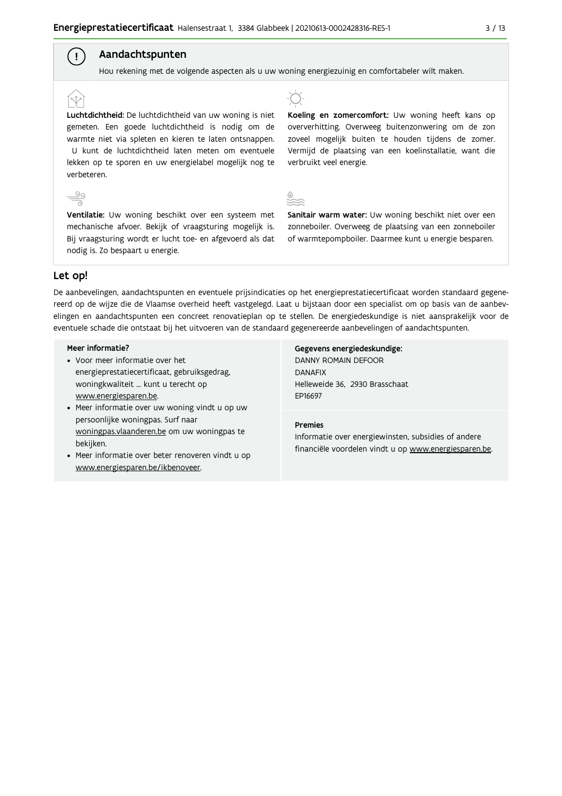### Aandachtspunten

Hou rekening met de volgende aspecten als u uw woning energiezuinig en comfortabeler wilt maken.

### Luchtdichtheid: De luchtdichtheid van uw woning is niet gemeten. Een goede luchtdichtheid is nodig om de warmte niet via spleten en kieren te laten ontsnappen. U kunt de luchtdichtheid laten meten om eventuele lekken op te sporen en uw energielabel mogelijk nog te verbeteren.

Ventilatie: Uw woning beschikt over een systeem met mechanische afvoer. Bekijk of vraagsturing mogelijk is. Bij vraagsturing wordt er lucht toe- en afgevoerd als dat nodig is. Zo bespaart u energie.



Koeling en zomercomfort: Uw woning heeft kans op oververhitting. Overweeg buitenzonwering om de zon zoveel mogelijk buiten te houden tijdens de zomer. Vermijd de plaatsing van een koelinstallatie, want die verbruikt veel energie.



Sanitair warm water: Uw woning beschikt niet over een zonneboiler. Overweeg de plaatsing van een zonneboiler of warmtepompboiler. Daarmee kunt u energie besparen.

### Let op!

 $\overset{\circ}{=}$ 

( ! )

De aanbevelingen, aandachtspunten en eventuele prijsindicaties op het energieprestatiecertificaat worden standaard gegenereerd op de wijze die de Vlaamse overheid heeft vastgelegd. Laat u bijstaan door een specialist om op basis van de aanbevelingen en aandachtspunten een concreet renovatieplan op te stellen. De energiedeskundige is niet aansprakelijk voor de eventuele schade die ontstaat bij het uitvoeren van de standaard gegenereerde aanbevelingen of aandachtspunten.

#### Meer informatie?

- Voor meer informatie over het energieprestatiecertificaat, gebruiksgedrag, woningkwaliteit ... kunt u terecht op www.energiesparen.be.
- Meer informatie over uw woning vindt u op uw persoonlijke woningpas. Surf naar woningpas.vlaanderen.be om uw woningpas te bekijken.
- Meer informatie over beter renoveren vindt u op www.energiesparen.be/ikbenoveer.

Gegevens energiedeskundige: DANNY ROMAIN DEFOOR **DANAFIX** Helleweide 36, 2930 Brasschaat EP16697

#### **Premies**

Informatie over energiewinsten, subsidies of andere financiële voordelen vindt u op www.energiesparen.be.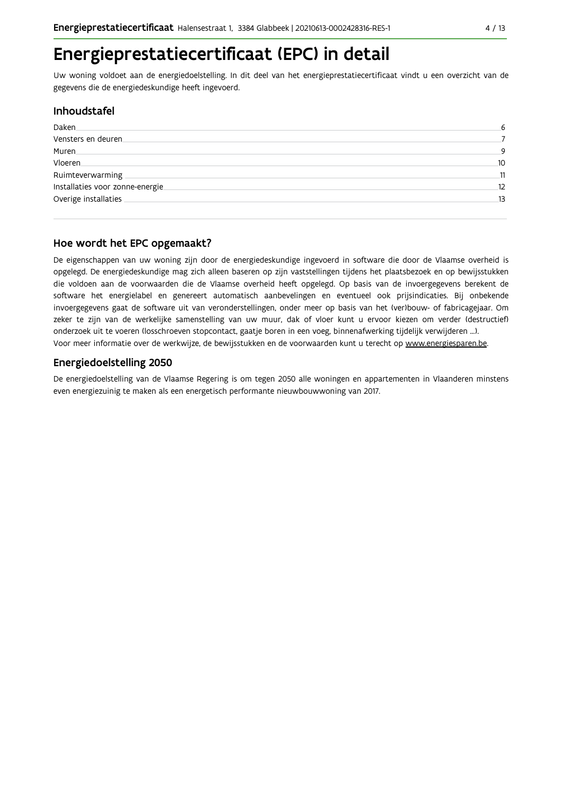### Energieprestatiecertificaat (EPC) in detail

Uw woning voldoet aan de energiedoelstelling. In dit deel van het energieprestatiecertificaat vindt u een overzicht van de gegevens die de energiedeskundige heeft ingevoerd.

### **Inhoudstafel**

| Daken                           | 6  |
|---------------------------------|----|
| Vensters en deuren.             |    |
| Muren.                          | q  |
| Vloeren.                        | 10 |
| Ruimteverwarming                | 11 |
| Installaties voor zonne-energie | 12 |
| Overige installaties            | 13 |
|                                 |    |

### Hoe wordt het EPC opgemaakt?

De eigenschappen van uw woning zijn door de energiedeskundige ingevoerd in software die door de Vlaamse overheid is opgelegd. De energiedeskundige mag zich alleen baseren op zijn vaststellingen tijdens het plaatsbezoek en op bewijsstukken die voldoen aan de voorwaarden die de Vlaamse overheid heeft opgelegd. Op basis van de invoergegevens berekent de software het energielabel en genereert automatisch aanbevelingen en eventueel ook prijsindicaties. Bij onbekende invoergegevens gaat de software uit van veronderstellingen, onder meer op basis van het (ver)bouw- of fabricagejaar. Om zeker te zijn van de werkelijke samenstelling van uw muur, dak of vloer kunt u ervoor kiezen om verder (destructief) onderzoek uit te voeren (losschroeven stopcontact, gaatje boren in een voeg, binnenafwerking tijdelijk verwijderen ...). Voor meer informatie over de werkwijze, de bewijsstukken en de voorwaarden kunt u terecht op www.energiesparen.be.

### **Energiedoelstelling 2050**

De energiedoelstelling van de Vlaamse Regering is om tegen 2050 alle woningen en appartementen in Vlaanderen minstens even energiezuinig te maken als een energetisch performante nieuwbouwwoning van 2017.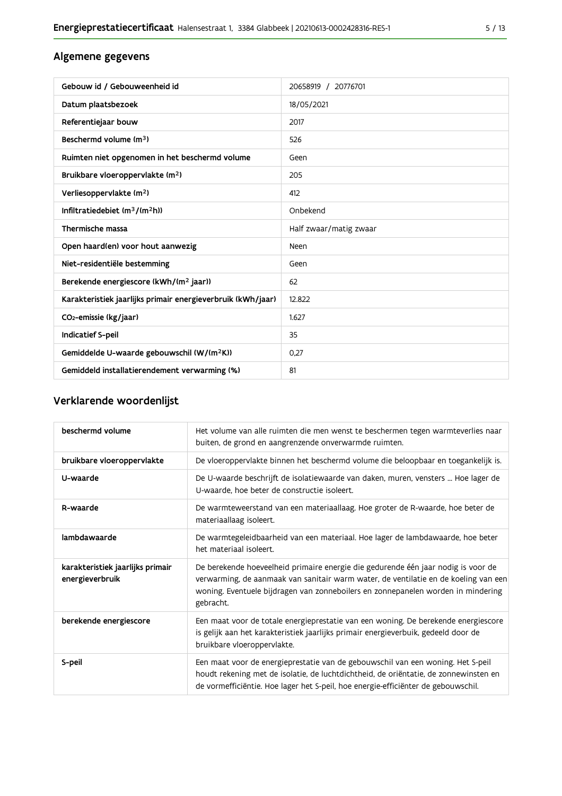### Algemene gegevens

| Gebouw id / Gebouweenheid id                                | 20658919 / 20776701    |
|-------------------------------------------------------------|------------------------|
| Datum plaatsbezoek                                          | 18/05/2021             |
| Referentiejaar bouw                                         | 2017                   |
| Beschermd volume (m <sup>3</sup> )                          | 526                    |
| Ruimten niet opgenomen in het beschermd volume              | Geen                   |
| Bruikbare vloeroppervlakte (m <sup>2</sup> )                | 205                    |
| Verliesoppervlakte (m <sup>2</sup> )                        | 412                    |
| Infiltratiedebiet $(m^3/(m^2h))$                            | Onbekend               |
| Thermische massa                                            | Half zwaar/matig zwaar |
| Open haard(en) voor hout aanwezig                           | Neen                   |
| Niet-residentiële bestemming                                | Geen                   |
| Berekende energiescore (kWh/(m <sup>2</sup> jaar))          | 62                     |
| Karakteristiek jaarlijks primair energieverbruik (kWh/jaar) | 12.822                 |
| CO2-emissie (kg/jaar)                                       | 1.627                  |
| Indicatief S-peil                                           | 35                     |
| Gemiddelde U-waarde gebouwschil (W/(m <sup>2</sup> K))      | 0,27                   |
| Gemiddeld installatierendement verwarming (%)               | 81                     |

### Verklarende woordenlijst

| beschermd volume                                    | Het volume van alle ruimten die men wenst te beschermen tegen warmteverlies naar<br>buiten, de grond en aangrenzende onverwarmde ruimten.                                                                                                                                 |
|-----------------------------------------------------|---------------------------------------------------------------------------------------------------------------------------------------------------------------------------------------------------------------------------------------------------------------------------|
| bruikbare vloeroppervlakte                          | De vloeroppervlakte binnen het beschermd volume die beloopbaar en toegankelijk is.                                                                                                                                                                                        |
| U-waarde                                            | De U-waarde beschrijft de isolatiewaarde van daken, muren, vensters  Hoe lager de<br>U-waarde, hoe beter de constructie isoleert.                                                                                                                                         |
| R-waarde                                            | De warmteweerstand van een materiaallaag. Hoe groter de R-waarde, hoe beter de<br>materiaallaag isoleert.                                                                                                                                                                 |
| lambdawaarde                                        | De warmtegeleidbaarheid van een materiaal. Hoe lager de lambdawaarde, hoe beter<br>het materiaal isoleert.                                                                                                                                                                |
| karakteristiek jaarlijks primair<br>energieverbruik | De berekende hoeveelheid primaire energie die gedurende één jaar nodig is voor de<br>verwarming, de aanmaak van sanitair warm water, de ventilatie en de koeling van een<br>woning. Eventuele bijdragen van zonneboilers en zonnepanelen worden in mindering<br>gebracht. |
| berekende energiescore                              | Een maat voor de totale energieprestatie van een woning. De berekende energiescore<br>is gelijk aan het karakteristiek jaarlijks primair energieverbuik, gedeeld door de<br>bruikbare vloeroppervlakte.                                                                   |
| S-peil                                              | Een maat voor de energieprestatie van de gebouwschil van een woning. Het S-peil<br>houdt rekening met de isolatie, de luchtdichtheid, de oriëntatie, de zonnewinsten en<br>de vormefficiëntie. Hoe lager het S-peil, hoe energie-efficiënter de gebouwschil.              |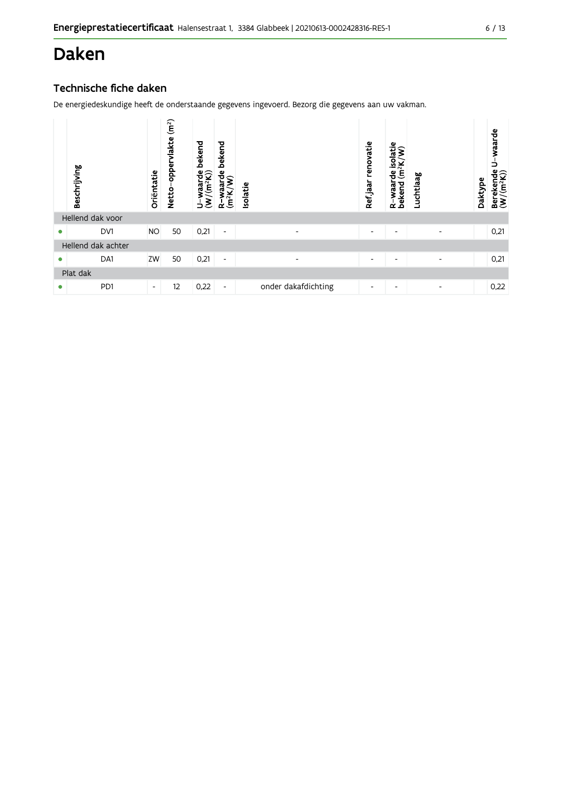### Daken

### Technische fiche daken

|   | Beschrijving       | Oriëntatie               | (m <sup>2</sup> )<br>vlakte<br>opper<br>Netto- | bekend<br>waarde<br>$\frac{1}{1}$<br>$\tilde{\bm{\epsilon}}$<br>∍ | bekend<br>waarde<br><sup>2</sup> K/W)<br>R-wa<br>(m <sup>2</sup> K) | Isolatie                 | renovatie<br>Refjaar     | isolatie<br>ŝ<br>(m <sup>2</sup> K)<br>운<br>R-waar<br>bekend | Luchtlaag                | Daktype | waarde<br>∍<br>Berekende<br>$(W/(m^2K))$ |
|---|--------------------|--------------------------|------------------------------------------------|-------------------------------------------------------------------|---------------------------------------------------------------------|--------------------------|--------------------------|--------------------------------------------------------------|--------------------------|---------|------------------------------------------|
|   | Hellend dak voor   |                          |                                                |                                                                   |                                                                     |                          |                          |                                                              |                          |         |                                          |
| ٠ | DV1                | <b>NO</b>                | 50                                             | 0,21                                                              | $\blacksquare$                                                      | $\overline{\phantom{0}}$ | $\overline{\phantom{a}}$ | $\overline{\phantom{a}}$                                     |                          |         | 0,21                                     |
|   | Hellend dak achter |                          |                                                |                                                                   |                                                                     |                          |                          |                                                              |                          |         |                                          |
| 0 | DA1                | ZW                       | 50                                             | 0,21                                                              | $\overline{\phantom{a}}$                                            | $\overline{\phantom{a}}$ | ٠                        | ٠                                                            |                          |         | 0,21                                     |
|   | Plat dak           |                          |                                                |                                                                   |                                                                     |                          |                          |                                                              |                          |         |                                          |
| ٠ | PD1                | $\overline{\phantom{a}}$ | 12                                             | 0,22                                                              | $\overline{\phantom{a}}$                                            | onder dakafdichting      | ٠                        | $\overline{\phantom{0}}$                                     | $\overline{\phantom{0}}$ |         | 0,22                                     |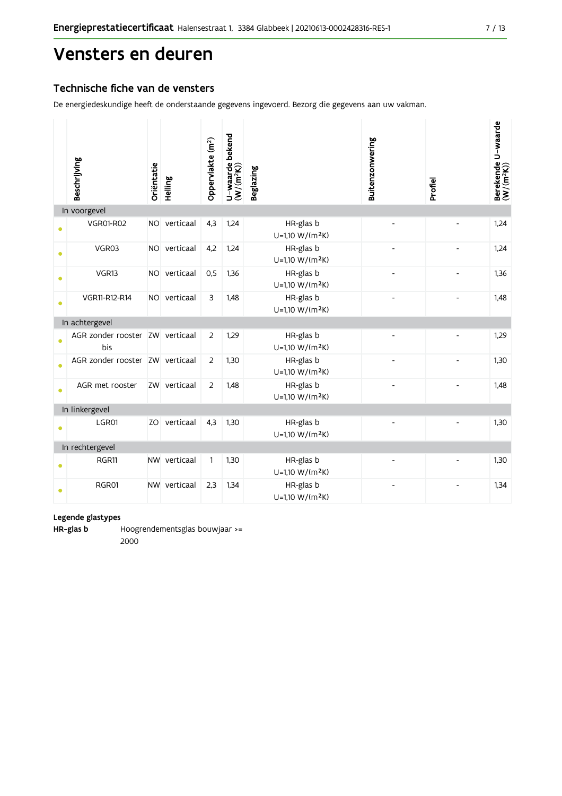### Vensters en deuren

### Technische fiche van de vensters

De energiedeskundige heeft de onderstaande gegevens ingevoerd. Bezorg die gegevens aan uw vakman.

|           | Beschrijving                           | Oriëntatie | Helling      | Oppervlakte (m <sup>2</sup> ) | bekend<br>$U$ –waarde t $(W/(m^2K))$ | <b>Beglazing</b>                         | Buitenzonwering          | Profiel                  | Berekende U-waarde<br>(W/(m <sup>2</sup> K)) |
|-----------|----------------------------------------|------------|--------------|-------------------------------|--------------------------------------|------------------------------------------|--------------------------|--------------------------|----------------------------------------------|
|           | In voorgevel                           |            |              |                               |                                      |                                          |                          |                          |                                              |
|           | <b>VGR01-R02</b>                       |            | NO verticaal | 4,3                           | 1,24                                 | HR-glas b<br>U=1,10 W/(m <sup>2</sup> K) |                          | $\overline{a}$           | 1,24                                         |
|           | VGR03                                  |            | NO verticaal | 4,2                           | 1,24                                 | HR-glas b<br>U=1,10 W/(m <sup>2</sup> K) |                          |                          | 1,24                                         |
|           | VGR13                                  | NO         | verticaal    | 0,5                           | 1,36                                 | HR-glas b<br>U=1,10 W/(m <sup>2</sup> K) |                          | $\overline{\phantom{a}}$ | 1,36                                         |
|           | VGR11-R12-R14                          |            | NO verticaal | 3                             | 1,48                                 | HR-glas b<br>U=1,10 W/(m <sup>2</sup> K) |                          |                          | 1,48                                         |
|           | In achtergevel                         |            |              |                               |                                      |                                          |                          |                          |                                              |
|           | AGR zonder rooster ZW verticaal<br>bis |            |              | 2                             | 1,29                                 | HR-glas b<br>$U=1,10 W/(m^2K)$           | $\overline{\phantom{a}}$ | $\blacksquare$           | 1,29                                         |
|           | AGR zonder rooster ZW verticaal        |            |              | $\overline{2}$                | 1,30                                 | HR-glas b<br>U=1,10 W/(m <sup>2</sup> K) |                          |                          | 1,30                                         |
| $\bullet$ | AGR met rooster                        |            | ZW verticaal | 2                             | 1,48                                 | HR-glas b<br>U=1,10 W/(m <sup>2</sup> K) |                          |                          | 1,48                                         |
|           | In linkergevel                         |            |              |                               |                                      |                                          |                          |                          |                                              |
|           | LGR01                                  |            | ZO verticaal | 4,3                           | 1,30                                 | HR-glas b<br>U=1,10 W/(m <sup>2</sup> K) |                          |                          | 1,30                                         |
|           | In rechtergevel                        |            |              |                               |                                      |                                          |                          |                          |                                              |
|           | RGR11                                  |            | NW verticaal | 1                             | 1,30                                 | HR-glas b<br>U=1,10 W/(m <sup>2</sup> K) |                          |                          | 1,30                                         |
|           | RGR01                                  |            | NW verticaal | 2,3                           | 1,34                                 | HR-glas b<br>U=1,10 W/(m <sup>2</sup> K) |                          |                          | 1,34                                         |

#### Legende glastypes

HR-glas b Hoogrendementsglas bouwjaar >= 2000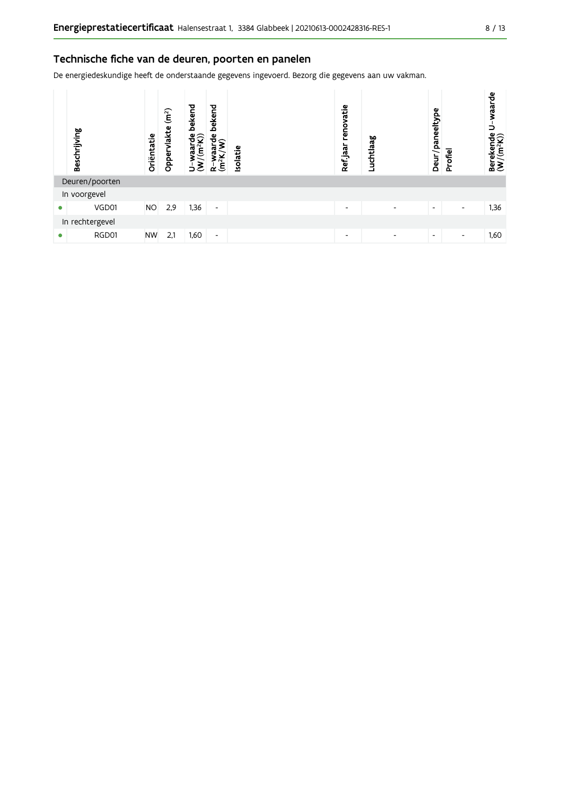### Technische fiche van de deuren, poorten en panelen

| Beschrijving    | Oriëntatie | (m <sup>2</sup> )<br>vlakte<br>Oppery | bekend<br>$\frac{4}{2}$<br>yaa<br>$\geq$<br>∍ | bekend<br>ဦ၄<br>ಗ<br>ಗ<br>$R = \frac{W^2}{2K}$ | solatie | renovatie<br>Refjaar | Luchtlaag                | Deur/paneeltype          | Profiel                  | waarde<br>∍<br>Berekende<br>(W/(m <sup>2</sup> K)) |
|-----------------|------------|---------------------------------------|-----------------------------------------------|------------------------------------------------|---------|----------------------|--------------------------|--------------------------|--------------------------|----------------------------------------------------|
| Deuren/poorten  |            |                                       |                                               |                                                |         |                      |                          |                          |                          |                                                    |
| In voorgevel    |            |                                       |                                               |                                                |         |                      |                          |                          |                          |                                                    |
| VGD01           | <b>NO</b>  | 2,9                                   | 1,36                                          | $\overline{\phantom{a}}$                       |         | ٠                    | $\overline{\phantom{a}}$ | $\overline{\phantom{a}}$ | $\overline{\phantom{a}}$ | 1,36                                               |
| In rechtergevel |            |                                       |                                               |                                                |         |                      |                          |                          |                          |                                                    |
| RGD01           | <b>NW</b>  | 2,1                                   | 1,60                                          | ٠                                              |         | -                    | -                        | $\overline{\phantom{a}}$ | $\overline{\phantom{a}}$ | 1,60                                               |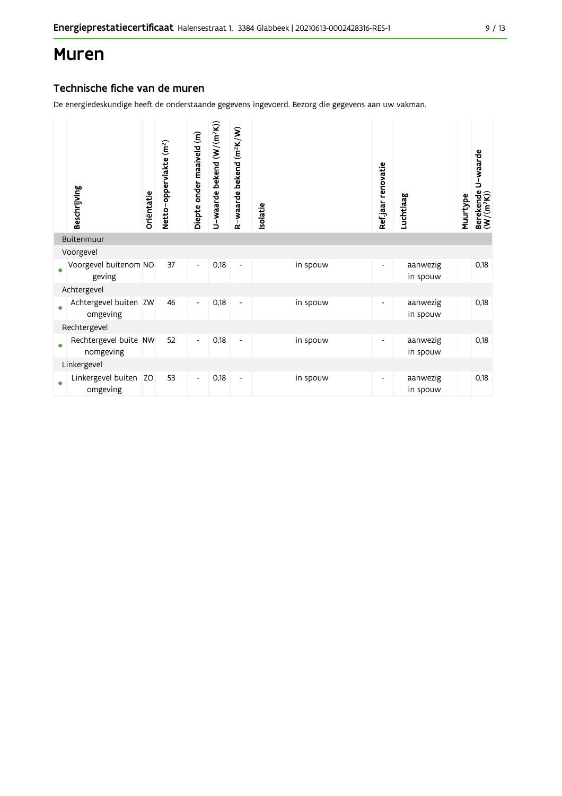### **Muren**

### Technische fiche van de muren

| Beschrijving                       | Oriëntatie | Netto-oppervlakte (m <sup>2</sup> ) | Diepte onder maaiveld (m) | U-waarde bekend (W/(m <sup>2</sup> K)) | R-waarde bekend (m <sup>2</sup> K/W) | solatie |          | Ref.jaar renovatie | Luchtlaag            | Muurtype | U-waarde<br>Berekende l<br>(W/(m <sup>2</sup> K)) |
|------------------------------------|------------|-------------------------------------|---------------------------|----------------------------------------|--------------------------------------|---------|----------|--------------------|----------------------|----------|---------------------------------------------------|
| Buitenmuur                         |            |                                     |                           |                                        |                                      |         |          |                    |                      |          |                                                   |
| Voorgevel                          |            |                                     |                           |                                        |                                      |         |          |                    |                      |          |                                                   |
| Voorgevel buitenom NO<br>geving    |            | 37                                  | $\overline{\phantom{a}}$  | 0,18                                   | $\overline{\phantom{a}}$             |         | in spouw | -                  | aanwezig<br>in spouw |          | 0,18                                              |
| Achtergevel                        |            |                                     |                           |                                        |                                      |         |          |                    |                      |          |                                                   |
| Achtergevel buiten ZW<br>omgeving  |            | 46                                  | $\overline{\phantom{a}}$  | 0,18                                   | $\overline{\phantom{a}}$             |         | in spouw | -                  | aanwezig<br>in spouw |          | 0,18                                              |
| Rechtergevel                       |            |                                     |                           |                                        |                                      |         |          |                    |                      |          |                                                   |
| Rechtergevel buite NW<br>nomgeving |            | 52                                  | $\overline{\phantom{a}}$  | 0,18                                   | $\overline{\phantom{a}}$             |         | in spouw |                    | aanwezig<br>in spouw |          | 0,18                                              |
| Linkergevel                        |            |                                     |                           |                                        |                                      |         |          |                    |                      |          |                                                   |
| Linkergevel buiten<br>omgeving     | <b>ZO</b>  | 53                                  | $\overline{\phantom{a}}$  | 0,18                                   | $\overline{\phantom{a}}$             |         | in spouw |                    | aanwezig<br>in spouw |          | 0,18                                              |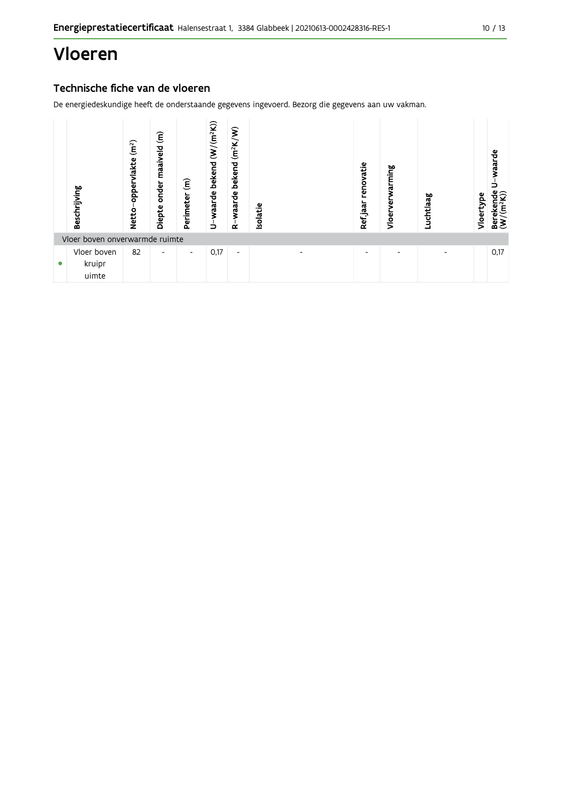## Vloeren

### Technische fiche van de vloeren

|   | Beschrijving                   | (m <sup>2</sup> )<br>oppervlakte<br>Netto | $\widehat{\epsilon}$<br>maaiveld<br>onder<br>Diepte | $\widehat{\boldsymbol{\epsilon}}$<br>Perimeter | U-waarde bekend (W/(m <sup>2</sup> K)) | bekend (m <sup>2</sup> K/W)<br>waarde<br>ά | Isolatie |                          |  | renovatie<br>Refjaar     | ming<br>える<br>Vloer | Luchtlaag                | Vloertype | waarde<br>Berekende<br>(W/(m <sup>2</sup> K)) |
|---|--------------------------------|-------------------------------------------|-----------------------------------------------------|------------------------------------------------|----------------------------------------|--------------------------------------------|----------|--------------------------|--|--------------------------|---------------------|--------------------------|-----------|-----------------------------------------------|
|   | Vloer boven onverwarmde ruimte |                                           |                                                     |                                                |                                        |                                            |          |                          |  |                          |                     |                          |           |                                               |
| ۰ | Vloer boven<br>kruipr<br>uimte | 82                                        | $\overline{\phantom{0}}$                            | ٠                                              | 0,17                                   | $\overline{\phantom{a}}$                   |          | $\overline{\phantom{0}}$ |  | $\overline{\phantom{0}}$ |                     | $\overline{\phantom{0}}$ |           | 0,17                                          |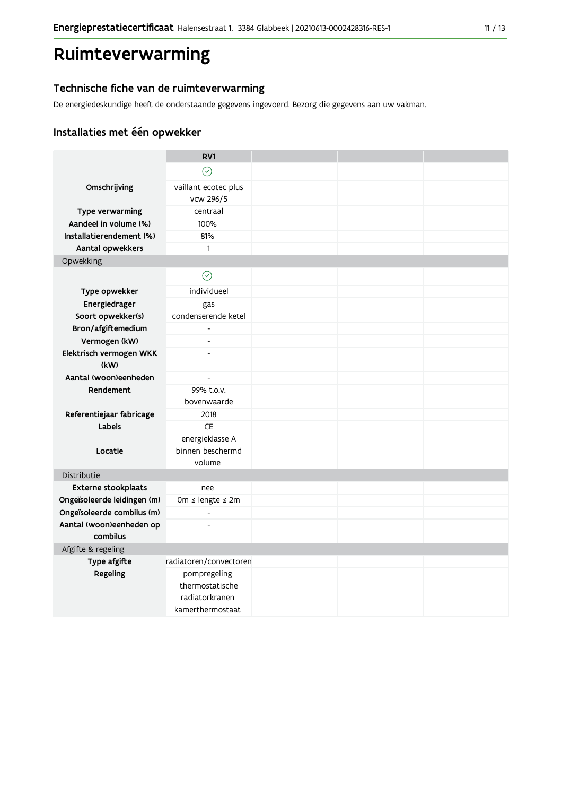## Ruimteverwarming

### Technische fiche van de ruimteverwarming

De energiedeskundige heeft de onderstaande gegevens ingevoerd. Bezorg die gegevens aan uw vakman.

### Installaties met één opwekker

|                             | RV1                               |  |  |
|-----------------------------|-----------------------------------|--|--|
|                             | $\odot$                           |  |  |
| Omschrijving                | vaillant ecotec plus<br>vcw 296/5 |  |  |
| Type verwarming             | centraal                          |  |  |
| Aandeel in volume (%)       | 100%                              |  |  |
| Installatierendement (%)    | 81%                               |  |  |
| Aantal opwekkers            | $\mathbf{1}$                      |  |  |
| Opwekking                   |                                   |  |  |
|                             | $\odot$                           |  |  |
| Type opwekker               | individueel                       |  |  |
| Energiedrager               | gas                               |  |  |
| Soort opwekker(s)           | condenserende ketel               |  |  |
| Bron/afgiftemedium          | $\overline{a}$                    |  |  |
| Vermogen (kW)               | $\overline{a}$                    |  |  |
| Elektrisch vermogen WKK     | $\overline{a}$                    |  |  |
| (kW)                        |                                   |  |  |
| Aantal (woon)eenheden       | $\overline{\phantom{a}}$          |  |  |
| Rendement                   | 99% t.o.v.<br>bovenwaarde         |  |  |
| Referentiejaar fabricage    | 2018                              |  |  |
| Labels                      | <b>CE</b>                         |  |  |
|                             | energieklasse A                   |  |  |
| Locatie                     | binnen beschermd                  |  |  |
|                             | volume                            |  |  |
| Distributie                 |                                   |  |  |
| <b>Externe stookplaats</b>  | nee                               |  |  |
| Ongeïsoleerde leidingen (m) | 0m ≤ lengte ≤ 2m                  |  |  |
| Ongeïsoleerde combilus (m)  | $\overline{\phantom{a}}$          |  |  |
| Aantal (woon)eenheden op    | $\overline{a}$                    |  |  |
| combilus                    |                                   |  |  |
| Afgifte & regeling          |                                   |  |  |
| Type afgifte                | radiatoren/convectoren            |  |  |
| Regeling                    | pompregeling                      |  |  |
|                             | thermostatische                   |  |  |
|                             | radiatorkranen                    |  |  |
|                             | kamerthermostaat                  |  |  |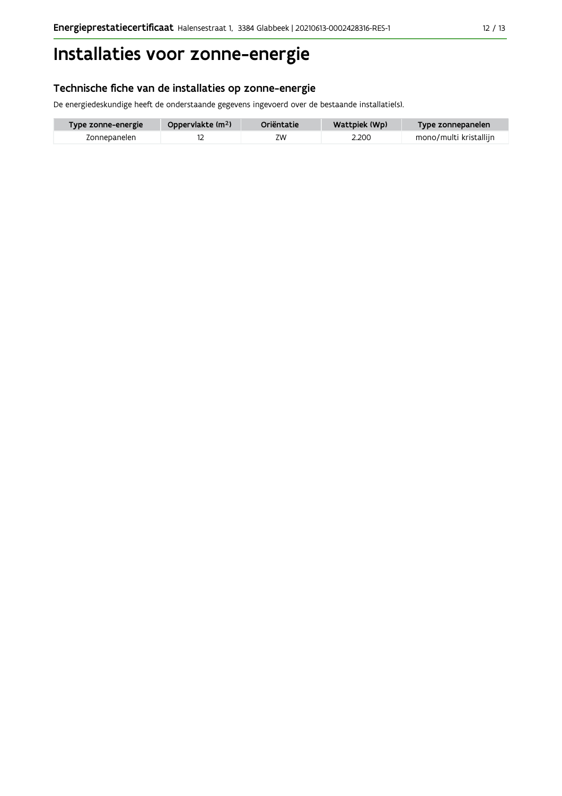## Installaties voor zonne-energie

### Technische fiche van de installaties op zonne-energie

De energiedeskundige heeft de onderstaande gegevens ingevoerd over de bestaande installatie(s).

| Type zonne-energie | Oppervlakte (m <sup>2</sup> ) | Oriëntatie | Wattpiek (Wp) | Type zonnepanelen      |
|--------------------|-------------------------------|------------|---------------|------------------------|
| Zonnepanelen       |                               | ΖW         | 2.200         | mono/multi kristallijn |